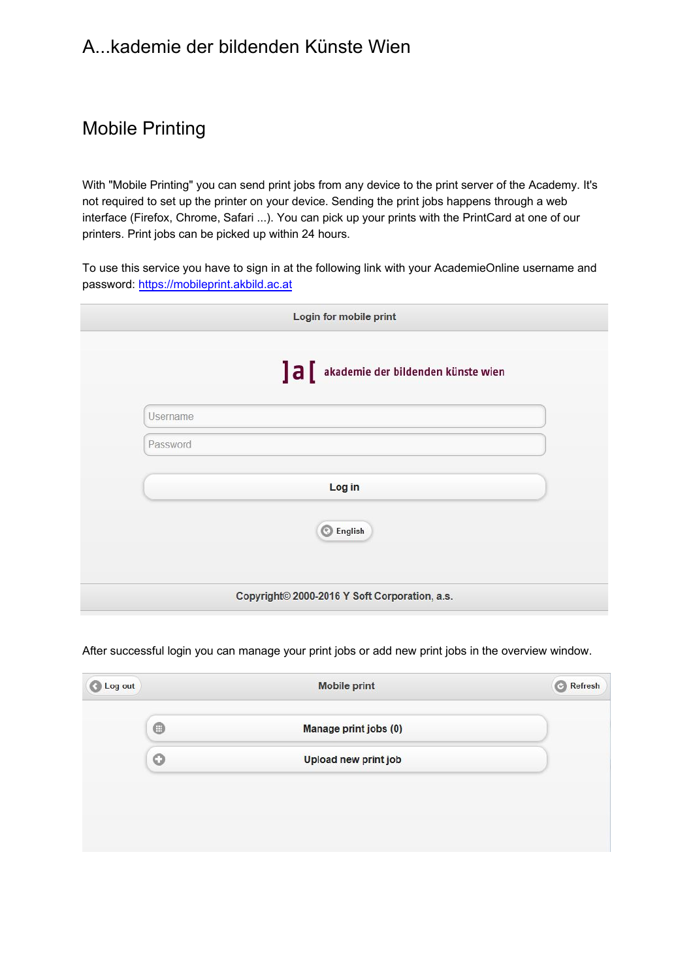# A...kademie der bildenden Künste Wien

# Mobile Printing

With "Mobile Printing" you can send print jobs from any device to the print server of the Academy. It's not required to set up the printer on your device. Sending the print jobs happens through a web interface (Firefox, Chrome, Safari ...). You can pick up your prints with the PrintCard at one of our printers. Print jobs can be picked up within 24 hours.

To use this [service you have to sign](https://mobileprint.akbild.ac.at/) in at the following link with your AcademieOnline username and password: https://mobileprint.akbild.ac.at

|          | Login for mobile print                        |
|----------|-----------------------------------------------|
|          | ]a[<br>akademie der bildenden künste wien     |
| Username |                                               |
| Password |                                               |
|          | Log in                                        |
|          | C English                                     |
|          |                                               |
|          | Copyright© 2000-2016 Y Soft Corporation, a.s. |

After successful login you can manage your print jobs or add new print jobs in the overview window.